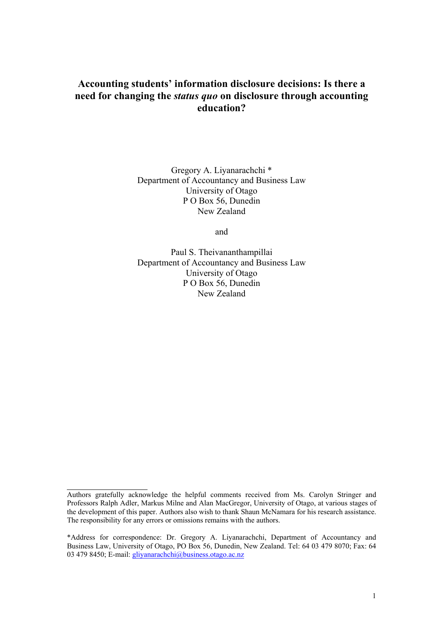# **Accounting students' information disclosure decisions: Is there a need for changing the** *status quo* **on disclosure through accounting education?**

Gregory A. Liyanarachchi \* Department of Accountancy and Business Law University of Otago P O Box 56, Dunedin New Zealand

and

Paul S. Theivananthampillai Department of Accountancy and Business Law University of Otago P O Box 56, Dunedin New Zealand

l

Authors gratefully acknowledge the helpful comments received from Ms. Carolyn Stringer and Professors Ralph Adler, Markus Milne and Alan MacGregor, University of Otago, at various stages of the development of this paper. Authors also wish to thank Shaun McNamara for his research assistance. The responsibility for any errors or omissions remains with the authors.

<sup>\*</sup>Address for correspondence: Dr. Gregory A. Liyanarachchi, Department of Accountancy and Business Law, University of Otago, PO Box 56, Dunedin, New Zealand. Tel: 64 03 479 8070; Fax: 64 03 479 8450; E-mail: gliyanarachchi@business.otago.ac.nz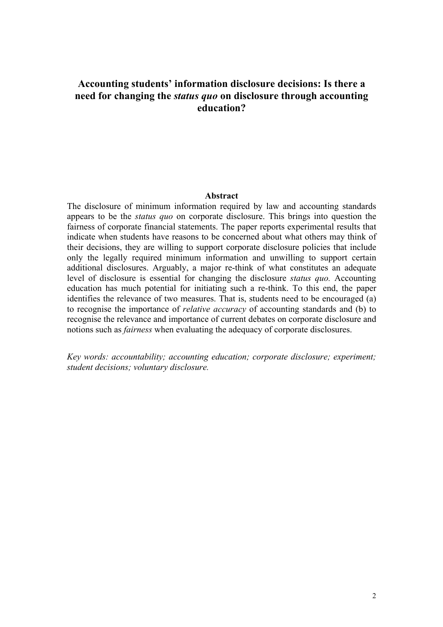# **Accounting students' information disclosure decisions: Is there a need for changing the** *status quo* **on disclosure through accounting education?**

#### **Abstract**

The disclosure of minimum information required by law and accounting standards appears to be the *status quo* on corporate disclosure. This brings into question the fairness of corporate financial statements. The paper reports experimental results that indicate when students have reasons to be concerned about what others may think of their decisions, they are willing to support corporate disclosure policies that include only the legally required minimum information and unwilling to support certain additional disclosures. Arguably, a major re-think of what constitutes an adequate level of disclosure is essential for changing the disclosure *status quo.* Accounting education has much potential for initiating such a re-think. To this end, the paper identifies the relevance of two measures. That is, students need to be encouraged (a) to recognise the importance of *relative accuracy* of accounting standards and (b) to recognise the relevance and importance of current debates on corporate disclosure and notions such as *fairness* when evaluating the adequacy of corporate disclosures.

*Key words: accountability; accounting education; corporate disclosure; experiment; student decisions; voluntary disclosure.*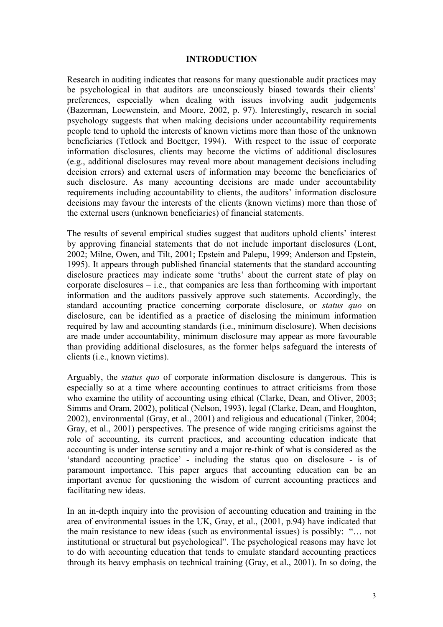#### **INTRODUCTION**

Research in auditing indicates that reasons for many questionable audit practices may be psychological in that auditors are unconsciously biased towards their clients' preferences, especially when dealing with issues involving audit judgements (Bazerman, Loewenstein, and Moore, 2002, p. 97). Interestingly, research in social psychology suggests that when making decisions under accountability requirements people tend to uphold the interests of known victims more than those of the unknown beneficiaries (Tetlock and Boettger, 1994). With respect to the issue of corporate information disclosures, clients may become the victims of additional disclosures (e.g., additional disclosures may reveal more about management decisions including decision errors) and external users of information may become the beneficiaries of such disclosure. As many accounting decisions are made under accountability requirements including accountability to clients, the auditors' information disclosure decisions may favour the interests of the clients (known victims) more than those of the external users (unknown beneficiaries) of financial statements.

The results of several empirical studies suggest that auditors uphold clients' interest by approving financial statements that do not include important disclosures (Lont, 2002; Milne, Owen, and Tilt, 2001; Epstein and Palepu, 1999; Anderson and Epstein, 1995). It appears through published financial statements that the standard accounting disclosure practices may indicate some 'truths' about the current state of play on corporate disclosures – i.e., that companies are less than forthcoming with important information and the auditors passively approve such statements. Accordingly, the standard accounting practice concerning corporate disclosure, or *status quo* on disclosure, can be identified as a practice of disclosing the minimum information required by law and accounting standards (i.e., minimum disclosure). When decisions are made under accountability, minimum disclosure may appear as more favourable than providing additional disclosures, as the former helps safeguard the interests of clients (i.e., known victims).

Arguably, the *status quo* of corporate information disclosure is dangerous. This is especially so at a time where accounting continues to attract criticisms from those who examine the utility of accounting using ethical (Clarke, Dean, and Oliver, 2003; Simms and Oram, 2002), political (Nelson, 1993), legal (Clarke, Dean, and Houghton, 2002), environmental (Gray, et al., 2001) and religious and educational (Tinker, 2004; Gray, et al., 2001) perspectives. The presence of wide ranging criticisms against the role of accounting, its current practices, and accounting education indicate that accounting is under intense scrutiny and a major re-think of what is considered as the 'standard accounting practice' - including the status quo on disclosure - is of paramount importance. This paper argues that accounting education can be an important avenue for questioning the wisdom of current accounting practices and facilitating new ideas.

In an in-depth inquiry into the provision of accounting education and training in the area of environmental issues in the UK, Gray, et al., (2001, p.94) have indicated that the main resistance to new ideas (such as environmental issues) is possibly: "… not institutional or structural but psychological". The psychological reasons may have lot to do with accounting education that tends to emulate standard accounting practices through its heavy emphasis on technical training (Gray, et al., 2001). In so doing, the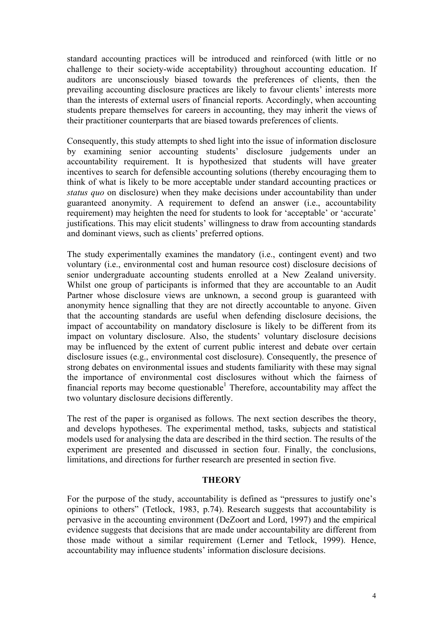standard accounting practices will be introduced and reinforced (with little or no challenge to their society-wide acceptability) throughout accounting education. If auditors are unconsciously biased towards the preferences of clients, then the prevailing accounting disclosure practices are likely to favour clients' interests more than the interests of external users of financial reports. Accordingly, when accounting students prepare themselves for careers in accounting, they may inherit the views of their practitioner counterparts that are biased towards preferences of clients.

Consequently, this study attempts to shed light into the issue of information disclosure by examining senior accounting students' disclosure judgements under an accountability requirement. It is hypothesized that students will have greater incentives to search for defensible accounting solutions (thereby encouraging them to think of what is likely to be more acceptable under standard accounting practices or *status quo* on disclosure) when they make decisions under accountability than under guaranteed anonymity. A requirement to defend an answer (i.e., accountability requirement) may heighten the need for students to look for 'acceptable' or 'accurate' justifications. This may elicit students' willingness to draw from accounting standards and dominant views, such as clients' preferred options.

The study experimentally examines the mandatory (i.e., contingent event) and two voluntary (i.e., environmental cost and human resource cost) disclosure decisions of senior undergraduate accounting students enrolled at a New Zealand university. Whilst one group of participants is informed that they are accountable to an Audit Partner whose disclosure views are unknown, a second group is guaranteed with anonymity hence signalling that they are not directly accountable to anyone. Given that the accounting standards are useful when defending disclosure decisions, the impact of accountability on mandatory disclosure is likely to be different from its impact on voluntary disclosure. Also, the students' voluntary disclosure decisions may be influenced by the extent of current public interest and debate over certain disclosure issues (e.g., environmental cost disclosure). Consequently, the presence of strong debates on environmental issues and students familiarity with these may signal the importance of environmental cost disclosures without which the fairness of financial reports may become questionable<sup>1</sup> Therefore, accountability may affect the two voluntary disclosure decisions differently.

The rest of the paper is organised as follows. The next section describes the theory, and develops hypotheses. The experimental method, tasks, subjects and statistical models used for analysing the data are described in the third section. The results of the experiment are presented and discussed in section four. Finally, the conclusions, limitations, and directions for further research are presented in section five.

#### **THEORY**

For the purpose of the study, accountability is defined as "pressures to justify one's opinions to others" (Tetlock, 1983, p.74). Research suggests that accountability is pervasive in the accounting environment (DeZoort and Lord, 1997) and the empirical evidence suggests that decisions that are made under accountability are different from those made without a similar requirement (Lerner and Tetlock, 1999). Hence, accountability may influence students' information disclosure decisions.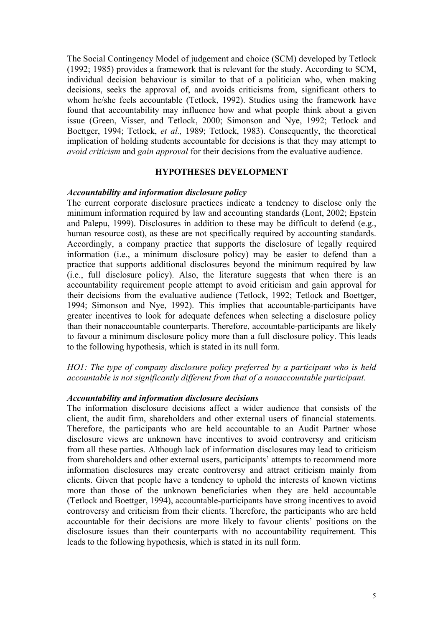The Social Contingency Model of judgement and choice (SCM) developed by Tetlock (1992; 1985) provides a framework that is relevant for the study. According to SCM, individual decision behaviour is similar to that of a politician who, when making decisions, seeks the approval of, and avoids criticisms from, significant others to whom he/she feels accountable (Tetlock, 1992). Studies using the framework have found that accountability may influence how and what people think about a given issue (Green, Visser, and Tetlock, 2000; Simonson and Nye, 1992; Tetlock and Boettger, 1994; Tetlock, *et al.,* 1989; Tetlock, 1983). Consequently, the theoretical implication of holding students accountable for decisions is that they may attempt to *avoid criticism* and *gain approval* for their decisions from the evaluative audience.

#### **HYPOTHESES DEVELOPMENT**

#### *Accountability and information disclosure policy*

The current corporate disclosure practices indicate a tendency to disclose only the minimum information required by law and accounting standards (Lont, 2002; Epstein and Palepu, 1999). Disclosures in addition to these may be difficult to defend (e.g., human resource cost), as these are not specifically required by accounting standards. Accordingly, a company practice that supports the disclosure of legally required information (i.e., a minimum disclosure policy) may be easier to defend than a practice that supports additional disclosures beyond the minimum required by law (i.e., full disclosure policy). Also, the literature suggests that when there is an accountability requirement people attempt to avoid criticism and gain approval for their decisions from the evaluative audience (Tetlock, 1992; Tetlock and Boettger, 1994; Simonson and Nye, 1992). This implies that accountable-participants have greater incentives to look for adequate defences when selecting a disclosure policy than their nonaccountable counterparts. Therefore, accountable-participants are likely to favour a minimum disclosure policy more than a full disclosure policy. This leads to the following hypothesis, which is stated in its null form.

### *HO1: The type of company disclosure policy preferred by a participant who is held accountable is not significantly different from that of a nonaccountable participant.*

#### *Accountability and information disclosure decisions*

The information disclosure decisions affect a wider audience that consists of the client, the audit firm, shareholders and other external users of financial statements. Therefore, the participants who are held accountable to an Audit Partner whose disclosure views are unknown have incentives to avoid controversy and criticism from all these parties. Although lack of information disclosures may lead to criticism from shareholders and other external users, participants' attempts to recommend more information disclosures may create controversy and attract criticism mainly from clients. Given that people have a tendency to uphold the interests of known victims more than those of the unknown beneficiaries when they are held accountable (Tetlock and Boettger, 1994), accountable-participants have strong incentives to avoid controversy and criticism from their clients. Therefore, the participants who are held accountable for their decisions are more likely to favour clients' positions on the disclosure issues than their counterparts with no accountability requirement. This leads to the following hypothesis, which is stated in its null form.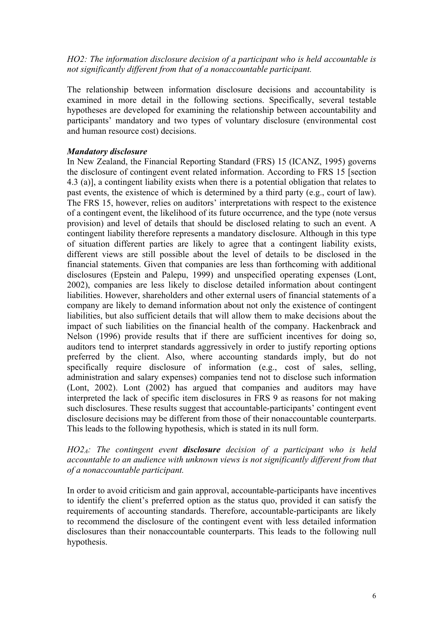*HO2: The information disclosure decision of a participant who is held accountable is not significantly different from that of a nonaccountable participant.* 

The relationship between information disclosure decisions and accountability is examined in more detail in the following sections. Specifically, several testable hypotheses are developed for examining the relationship between accountability and participants' mandatory and two types of voluntary disclosure (environmental cost and human resource cost) decisions.

### *Mandatory disclosure*

In New Zealand, the Financial Reporting Standard (FRS) 15 (ICANZ, 1995) governs the disclosure of contingent event related information. According to FRS 15 [section 4.3 (a)], a contingent liability exists when there is a potential obligation that relates to past events, the existence of which is determined by a third party (e.g., court of law). The FRS 15, however, relies on auditors' interpretations with respect to the existence of a contingent event, the likelihood of its future occurrence, and the type (note versus provision) and level of details that should be disclosed relating to such an event. A contingent liability therefore represents a mandatory disclosure. Although in this type of situation different parties are likely to agree that a contingent liability exists, different views are still possible about the level of details to be disclosed in the financial statements. Given that companies are less than forthcoming with additional disclosures (Epstein and Palepu, 1999) and unspecified operating expenses (Lont, 2002), companies are less likely to disclose detailed information about contingent liabilities. However, shareholders and other external users of financial statements of a company are likely to demand information about not only the existence of contingent liabilities, but also sufficient details that will allow them to make decisions about the impact of such liabilities on the financial health of the company. Hackenbrack and Nelson (1996) provide results that if there are sufficient incentives for doing so, auditors tend to interpret standards aggressively in order to justify reporting options preferred by the client. Also, where accounting standards imply, but do not specifically require disclosure of information (e.g., cost of sales, selling, administration and salary expenses) companies tend not to disclose such information (Lont, 2002). Lont (2002) has argued that companies and auditors may have interpreted the lack of specific item disclosures in FRS 9 as reasons for not making such disclosures. These results suggest that accountable-participants' contingent event disclosure decisions may be different from those of their nonaccountable counterparts. This leads to the following hypothesis, which is stated in its null form.

## *HO2A: The contingent event disclosure decision of a participant who is held accountable to an audience with unknown views is not significantly different from that of a nonaccountable participant.*

In order to avoid criticism and gain approval, accountable-participants have incentives to identify the client's preferred option as the status quo, provided it can satisfy the requirements of accounting standards. Therefore, accountable-participants are likely to recommend the disclosure of the contingent event with less detailed information disclosures than their nonaccountable counterparts. This leads to the following null hypothesis.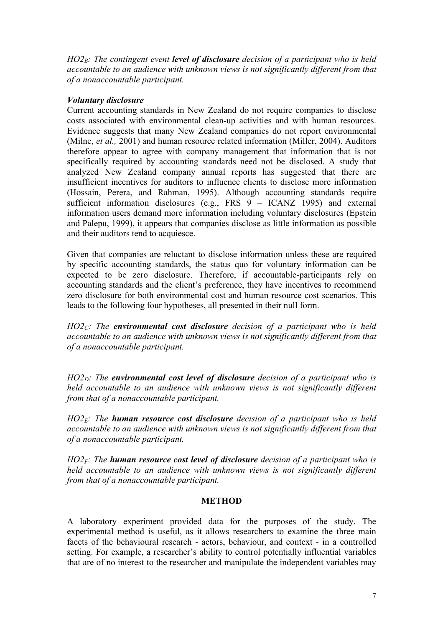*HO2<sub>B</sub>: The contingent event <i>level of disclosure* decision of a participant who is held *accountable to an audience with unknown views is not significantly different from that of a nonaccountable participant.* 

## *Voluntary disclosure*

Current accounting standards in New Zealand do not require companies to disclose costs associated with environmental clean-up activities and with human resources. Evidence suggests that many New Zealand companies do not report environmental (Milne, *et al.,* 2001) and human resource related information (Miller, 2004). Auditors therefore appear to agree with company management that information that is not specifically required by accounting standards need not be disclosed. A study that analyzed New Zealand company annual reports has suggested that there are insufficient incentives for auditors to influence clients to disclose more information (Hossain, Perera, and Rahman, 1995). Although accounting standards require sufficient information disclosures (e.g., FRS  $\overline{9}$  – ICANZ 1995) and external information users demand more information including voluntary disclosures (Epstein and Palepu, 1999), it appears that companies disclose as little information as possible and their auditors tend to acquiesce.

Given that companies are reluctant to disclose information unless these are required by specific accounting standards, the status quo for voluntary information can be expected to be zero disclosure. Therefore, if accountable-participants rely on accounting standards and the client's preference, they have incentives to recommend zero disclosure for both environmental cost and human resource cost scenarios. This leads to the following four hypotheses, all presented in their null form.

*HO2C: The environmental cost disclosure decision of a participant who is held accountable to an audience with unknown views is not significantly different from that of a nonaccountable participant.* 

*HO2<sub>D</sub>: The environmental cost level of disclosure decision of a participant who is held accountable to an audience with unknown views is not significantly different from that of a nonaccountable participant.* 

*HO2E: The human resource cost disclosure decision of a participant who is held accountable to an audience with unknown views is not significantly different from that of a nonaccountable participant.* 

*HO2F: The human resource cost level of disclosure decision of a participant who is held accountable to an audience with unknown views is not significantly different from that of a nonaccountable participant.* 

### **METHOD**

A laboratory experiment provided data for the purposes of the study. The experimental method is useful, as it allows researchers to examine the three main facets of the behavioural research - actors, behaviour, and context - in a controlled setting. For example, a researcher's ability to control potentially influential variables that are of no interest to the researcher and manipulate the independent variables may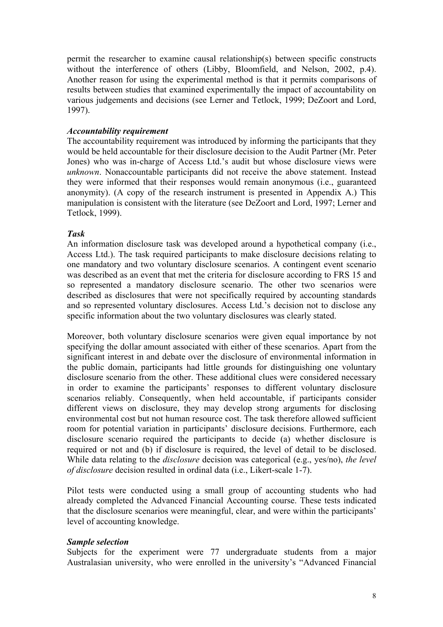permit the researcher to examine causal relationship(s) between specific constructs without the interference of others (Libby, Bloomfield, and Nelson, 2002, p.4). Another reason for using the experimental method is that it permits comparisons of results between studies that examined experimentally the impact of accountability on various judgements and decisions (see Lerner and Tetlock, 1999; DeZoort and Lord, 1997).

### *Accountability requirement*

The accountability requirement was introduced by informing the participants that they would be held accountable for their disclosure decision to the Audit Partner (Mr. Peter Jones) who was in-charge of Access Ltd.'s audit but whose disclosure views were *unknown*. Nonaccountable participants did not receive the above statement. Instead they were informed that their responses would remain anonymous (i.e., guaranteed anonymity). (A copy of the research instrument is presented in Appendix A.) This manipulation is consistent with the literature (see DeZoort and Lord, 1997; Lerner and Tetlock, 1999).

## *Task*

An information disclosure task was developed around a hypothetical company (i.e., Access Ltd.). The task required participants to make disclosure decisions relating to one mandatory and two voluntary disclosure scenarios. A contingent event scenario was described as an event that met the criteria for disclosure according to FRS 15 and so represented a mandatory disclosure scenario. The other two scenarios were described as disclosures that were not specifically required by accounting standards and so represented voluntary disclosures. Access Ltd.'s decision not to disclose any specific information about the two voluntary disclosures was clearly stated.

Moreover, both voluntary disclosure scenarios were given equal importance by not specifying the dollar amount associated with either of these scenarios. Apart from the significant interest in and debate over the disclosure of environmental information in the public domain, participants had little grounds for distinguishing one voluntary disclosure scenario from the other. These additional clues were considered necessary in order to examine the participants' responses to different voluntary disclosure scenarios reliably. Consequently, when held accountable, if participants consider different views on disclosure, they may develop strong arguments for disclosing environmental cost but not human resource cost. The task therefore allowed sufficient room for potential variation in participants' disclosure decisions. Furthermore, each disclosure scenario required the participants to decide (a) whether disclosure is required or not and (b) if disclosure is required, the level of detail to be disclosed. While data relating to the *disclosure* decision was categorical (e.g., yes/no), *the level of disclosure* decision resulted in ordinal data (i.e., Likert-scale 1-7).

Pilot tests were conducted using a small group of accounting students who had already completed the Advanced Financial Accounting course. These tests indicated that the disclosure scenarios were meaningful, clear, and were within the participants' level of accounting knowledge.

### *Sample selection*

Subjects for the experiment were 77 undergraduate students from a major Australasian university, who were enrolled in the university's "Advanced Financial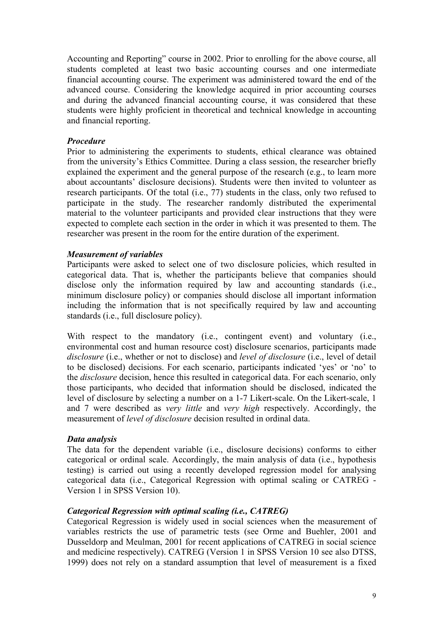Accounting and Reporting" course in 2002. Prior to enrolling for the above course, all students completed at least two basic accounting courses and one intermediate financial accounting course. The experiment was administered toward the end of the advanced course. Considering the knowledge acquired in prior accounting courses and during the advanced financial accounting course, it was considered that these students were highly proficient in theoretical and technical knowledge in accounting and financial reporting.

## *Procedure*

Prior to administering the experiments to students, ethical clearance was obtained from the university's Ethics Committee. During a class session, the researcher briefly explained the experiment and the general purpose of the research (e.g., to learn more about accountants' disclosure decisions). Students were then invited to volunteer as research participants. Of the total (i.e., 77) students in the class, only two refused to participate in the study. The researcher randomly distributed the experimental material to the volunteer participants and provided clear instructions that they were expected to complete each section in the order in which it was presented to them. The researcher was present in the room for the entire duration of the experiment.

### *Measurement of variables*

Participants were asked to select one of two disclosure policies, which resulted in categorical data. That is, whether the participants believe that companies should disclose only the information required by law and accounting standards (i.e., minimum disclosure policy) or companies should disclose all important information including the information that is not specifically required by law and accounting standards (i.e., full disclosure policy).

With respect to the mandatory (i.e., contingent event) and voluntary (i.e., environmental cost and human resource cost) disclosure scenarios, participants made *disclosure* (i.e., whether or not to disclose) and *level of disclosure* (i.e., level of detail to be disclosed) decisions. For each scenario, participants indicated 'yes' or 'no' to the *disclosure* decision, hence this resulted in categorical data. For each scenario, only those participants, who decided that information should be disclosed, indicated the level of disclosure by selecting a number on a 1-7 Likert-scale. On the Likert-scale, 1 and 7 were described as *very little* and *very high* respectively. Accordingly, the measurement of *level of disclosure* decision resulted in ordinal data.

# *Data analysis*

The data for the dependent variable (i.e., disclosure decisions) conforms to either categorical or ordinal scale. Accordingly, the main analysis of data (i.e., hypothesis testing) is carried out using a recently developed regression model for analysing categorical data (i.e., Categorical Regression with optimal scaling or CATREG - Version 1 in SPSS Version 10).

# *Categorical Regression with optimal scaling (i.e., CATREG)*

Categorical Regression is widely used in social sciences when the measurement of variables restricts the use of parametric tests (see Orme and Buehler, 2001 and Dusseldorp and Meulman, 2001 for recent applications of CATREG in social science and medicine respectively). CATREG (Version 1 in SPSS Version 10 see also DTSS, 1999) does not rely on a standard assumption that level of measurement is a fixed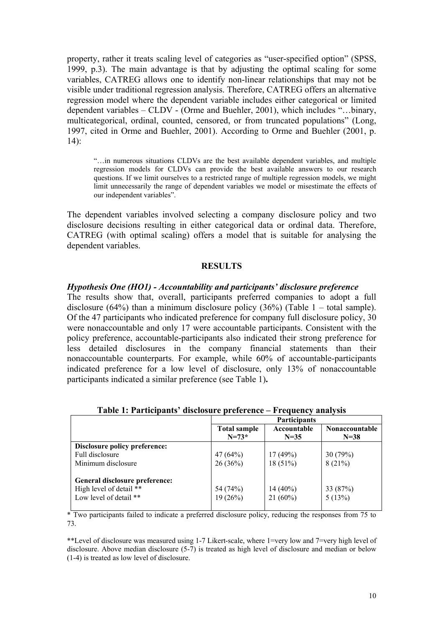property, rather it treats scaling level of categories as "user-specified option" (SPSS, 1999, p.3). The main advantage is that by adjusting the optimal scaling for some variables, CATREG allows one to identify non-linear relationships that may not be visible under traditional regression analysis. Therefore, CATREG offers an alternative regression model where the dependent variable includes either categorical or limited dependent variables – CLDV - (Orme and Buehler, 2001), which includes "…binary, multicategorical, ordinal, counted, censored, or from truncated populations" (Long, 1997, cited in Orme and Buehler, 2001). According to Orme and Buehler (2001, p. 14):

"…in numerous situations CLDVs are the best available dependent variables, and multiple regression models for CLDVs can provide the best available answers to our research questions. If we limit ourselves to a restricted range of multiple regression models, we might limit unnecessarily the range of dependent variables we model or misestimate the effects of our independent variables".

The dependent variables involved selecting a company disclosure policy and two disclosure decisions resulting in either categorical data or ordinal data. Therefore, CATREG (with optimal scaling) offers a model that is suitable for analysing the dependent variables.

### **RESULTS**

#### *Hypothesis One (HO1) - Accountability and participants' disclosure preference*

The results show that, overall, participants preferred companies to adopt a full disclosure (64%) than a minimum disclosure policy (36%) (Table  $1 -$  total sample). Of the 47 participants who indicated preference for company full disclosure policy, 30 were nonaccountable and only 17 were accountable participants. Consistent with the policy preference, accountable-participants also indicated their strong preference for less detailed disclosures in the company financial statements than their nonaccountable counterparts. For example, while 60% of accountable-participants indicated preference for a low level of disclosure, only 13% of nonaccountable participants indicated a similar preference (see Table 1)**.** 

|                                |                                  | <b>Participants</b>     |                                 |  |  |
|--------------------------------|----------------------------------|-------------------------|---------------------------------|--|--|
|                                | <b>Total sample</b><br>$N = 73*$ | Accountable<br>$N = 35$ | <b>Nonaccountable</b><br>$N=38$ |  |  |
| Disclosure policy preference:  |                                  |                         |                                 |  |  |
| Full disclosure                | 47(64%)                          | 17(49%)                 | 30(79%)                         |  |  |
| Minimum disclosure             | 26(36%)                          | 18(51%)                 | 8(21%)                          |  |  |
| General disclosure preference: |                                  |                         |                                 |  |  |
| High level of detail **        | 54 (74%)                         | $14(40\%)$              | 33 (87%)                        |  |  |
| Low level of detail **         | 19(26%)                          | $21(60\%)$              | 5(13%)                          |  |  |

**Table 1: Participants' disclosure preference – Frequency analysis** 

\* Two participants failed to indicate a preferred disclosure policy, reducing the responses from 75 to 73.

\*\*Level of disclosure was measured using 1-7 Likert-scale, where 1=very low and 7=very high level of disclosure. Above median disclosure (5-7) is treated as high level of disclosure and median or below (1-4) is treated as low level of disclosure.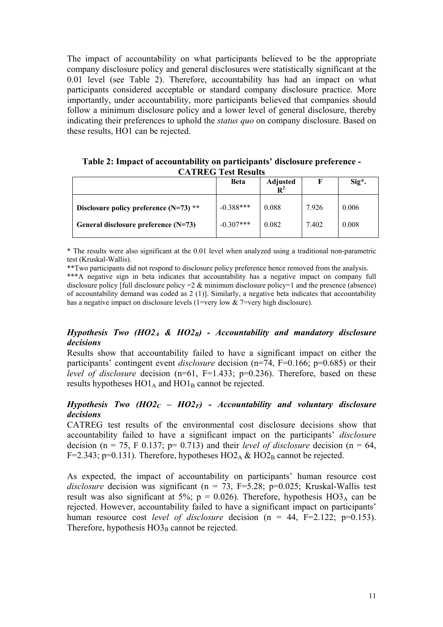The impact of accountability on what participants believed to be the appropriate company disclosure policy and general disclosures were statistically significant at the 0.01 level (see Table 2). Therefore, accountability has had an impact on what participants considered acceptable or standard company disclosure practice. More importantly, under accountability, more participants believed that companies should follow a minimum disclosure policy and a lower level of general disclosure, thereby indicating their preferences to uphold the *status quo* on company disclosure. Based on these results, HO1 can be rejected.

**Table 2: Impact of accountability on participants' disclosure preference - CATREG Test Results** 

|                                          | <b>Beta</b> | <b>Adjusted</b><br>$\mathbf{R}^2$ |       | Sig*. |
|------------------------------------------|-------------|-----------------------------------|-------|-------|
| Disclosure policy preference $(N=73)$ ** | $-0.388***$ | 0.088                             | 7.926 | 0.006 |
| General disclosure preference $(N=73)$   | $-0.307***$ | 0.082                             | 7.402 | 0.008 |

\* The results were also significant at the 0.01 level when analyzed using a traditional non-parametric test (Kruskal-Wallis).

\*\*Two participants did not respond to disclosure policy preference hence removed from the analysis.

\*\*\*A negative sign in beta indicates that accountability has a negative impact on company full disclosure policy  $\lceil \text{full} \rceil$  disclosure policy  $=2 \& \text{minimum}$  disclosure policy $=1$  and the presence (absence) of accountability demand was coded as  $2(1)$ ]. Similarly, a negative beta indicates that accountability has a negative impact on disclosure levels (1=very low & 7=very high disclosure).

# *Hypothesis Two (HO2A & HO2B) - Accountability and mandatory disclosure decisions*

Results show that accountability failed to have a significant impact on either the participants' contingent event *disclosure* decision (n=74, F=0.166; p=0.685) or their *level of disclosure* decision (n=61, F=1.433; p=0.236). Therefore, based on these results hypotheses  $HO1_A$  and  $HO1_B$  cannot be rejected.

# *Hypothesis Two (HO2<sub>C</sub> – HO2<sub>F</sub>) - Accountability and voluntary disclosure decisions*

CATREG test results of the environmental cost disclosure decisions show that accountability failed to have a significant impact on the participants' *disclosure* decision ( $n = 75$ , F 0.137;  $p= 0.713$ ) and their *level of disclosure* decision ( $n = 64$ , F=2.343; p=0.131). Therefore, hypotheses  $HO2_A \& HO2_B$  cannot be rejected.

As expected, the impact of accountability on participants' human resource cost *disclosure* decision was significant ( $n = 73$ ,  $F=5.28$ ;  $p=0.025$ ; Kruskal-Wallis test result was also significant at 5%;  $p = 0.026$ ). Therefore, hypothesis HO3<sub>A</sub> can be rejected. However, accountability failed to have a significant impact on participants' human resource cost *level of disclosure* decision  $(n = 44, F=2.122; p=0.153)$ . Therefore, hypothesis  $HO3_B$  cannot be rejected.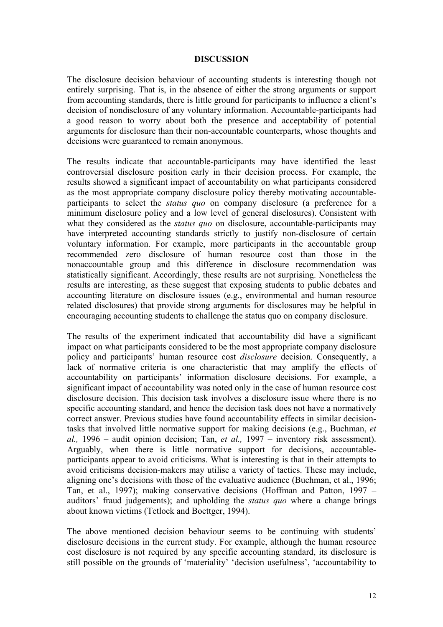#### **DISCUSSION**

The disclosure decision behaviour of accounting students is interesting though not entirely surprising. That is, in the absence of either the strong arguments or support from accounting standards, there is little ground for participants to influence a client's decision of nondisclosure of any voluntary information. Accountable-participants had a good reason to worry about both the presence and acceptability of potential arguments for disclosure than their non-accountable counterparts, whose thoughts and decisions were guaranteed to remain anonymous.

The results indicate that accountable-participants may have identified the least controversial disclosure position early in their decision process. For example, the results showed a significant impact of accountability on what participants considered as the most appropriate company disclosure policy thereby motivating accountableparticipants to select the *status quo* on company disclosure (a preference for a minimum disclosure policy and a low level of general disclosures). Consistent with what they considered as the *status quo* on disclosure, accountable-participants may have interpreted accounting standards strictly to justify non-disclosure of certain voluntary information. For example, more participants in the accountable group recommended zero disclosure of human resource cost than those in the nonaccountable group and this difference in disclosure recommendation was statistically significant. Accordingly, these results are not surprising. Nonetheless the results are interesting, as these suggest that exposing students to public debates and accounting literature on disclosure issues (e.g., environmental and human resource related disclosures) that provide strong arguments for disclosures may be helpful in encouraging accounting students to challenge the status quo on company disclosure.

The results of the experiment indicated that accountability did have a significant impact on what participants considered to be the most appropriate company disclosure policy and participants' human resource cost *disclosure* decision. Consequently, a lack of normative criteria is one characteristic that may amplify the effects of accountability on participants' information disclosure decisions. For example, a significant impact of accountability was noted only in the case of human resource cost disclosure decision. This decision task involves a disclosure issue where there is no specific accounting standard, and hence the decision task does not have a normatively correct answer. Previous studies have found accountability effects in similar decisiontasks that involved little normative support for making decisions (e.g., Buchman, *et al.,* 1996 – audit opinion decision; Tan, *et al.,* 1997 – inventory risk assessment). Arguably, when there is little normative support for decisions, accountableparticipants appear to avoid criticisms. What is interesting is that in their attempts to avoid criticisms decision-makers may utilise a variety of tactics. These may include, aligning one's decisions with those of the evaluative audience (Buchman, et al., 1996; Tan, et al., 1997); making conservative decisions (Hoffman and Patton, 1997 – auditors' fraud judgements); and upholding the *status quo* where a change brings about known victims (Tetlock and Boettger, 1994).

The above mentioned decision behaviour seems to be continuing with students' disclosure decisions in the current study. For example, although the human resource cost disclosure is not required by any specific accounting standard, its disclosure is still possible on the grounds of 'materiality' 'decision usefulness', 'accountability to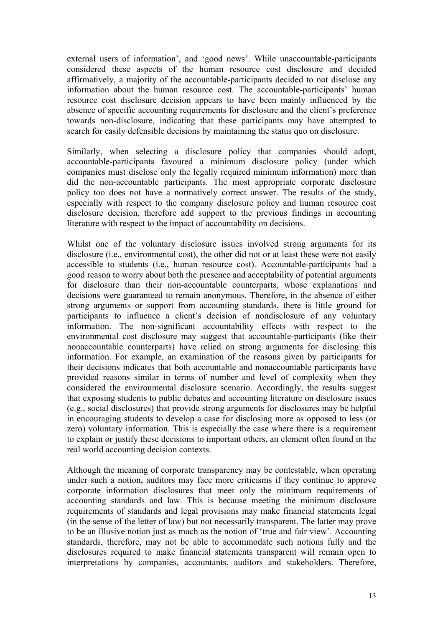external users of information', and 'good news'. While unaccountable-participants considered these aspects of the human resource cost disclosure and decided affirmatively, a majority of the accountable-participants decided to not disclose any information about the human resource cost. The accountable-participants' human resource cost disclosure decision appears to have been mainly influenced by the absence of specific accounting requirements for disclosure and the client's preference towards non-disclosure, indicating that these participants may have attempted to search for easily defensible decisions by maintaining the status quo on disclosure.

Similarly, when selecting a disclosure policy that companies should adopt, accountable-participants favoured a minimum disclosure policy (under which companies must disclose only the legally required minimum information) more than did the non-accountable participants. The most appropriate corporate disclosure policy too does not have a normatively correct answer. The results of the study, especially with respect to the company disclosure policy and human resource cost disclosure decision, therefore add support to the previous findings in accounting literature with respect to the impact of accountability on decisions.

Whilst one of the voluntary disclosure issues involved strong arguments for its disclosure (i.e., environmental cost), the other did not or at least these were not easily accessible to students (i.e., human resource cost). Accountable-participants had a good reason to worry about both the presence and acceptability of potential arguments for disclosure than their non-accountable counterparts, whose explanations and decisions were guaranteed to remain anonymous. Therefore, in the absence of either strong arguments or support from accounting standards, there is little ground for participants to influence a client's decision of nondisclosure of any voluntary information. The non-significant accountability effects with respect to the environmental cost disclosure may suggest that accountable-participants (like their nonaccountable counterparts) have relied on strong arguments for disclosing this information. For example, an examination of the reasons given by participants for their decisions indicates that both accountable and nonaccountable participants have provided reasons similar in terms of number and level of complexity when they considered the environmental disclosure scenario. Accordingly, the results suggest that exposing students to public debates and accounting literature on disclosure issues (e.g., social disclosures) that provide strong arguments for disclosures may be helpful in encouraging students to develop a case for disclosing more as opposed to less (or zero) voluntary information. This is especially the case where there is a requirement to explain or justify these decisions to important others, an element often found in the real world accounting decision contexts.

Although the meaning of corporate transparency may be contestable, when operating under such a notion, auditors may face more criticisms if they continue to approve corporate information disclosures that meet only the minimum requirements of accounting standards and law. This is because meeting the minimum disclosure requirements of standards and legal provisions may make financial statements legal (in the sense of the letter of law) but not necessarily transparent. The latter may prove to be an illusive notion just as much as the notion of 'true and fair view'. Accounting standards, therefore, may not be able to accommodate such notions fully and the disclosures required to make financial statements transparent will remain open to interpretations by companies, accountants, auditors and stakeholders. Therefore,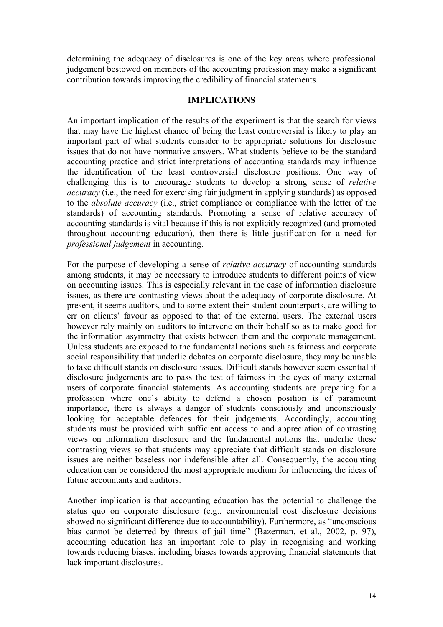determining the adequacy of disclosures is one of the key areas where professional judgement bestowed on members of the accounting profession may make a significant contribution towards improving the credibility of financial statements.

### **IMPLICATIONS**

An important implication of the results of the experiment is that the search for views that may have the highest chance of being the least controversial is likely to play an important part of what students consider to be appropriate solutions for disclosure issues that do not have normative answers. What students believe to be the standard accounting practice and strict interpretations of accounting standards may influence the identification of the least controversial disclosure positions. One way of challenging this is to encourage students to develop a strong sense of *relative accuracy* (i.e., the need for exercising fair judgment in applying standards) as opposed to the *absolute accuracy* (i.e., strict compliance or compliance with the letter of the standards) of accounting standards. Promoting a sense of relative accuracy of accounting standards is vital because if this is not explicitly recognized (and promoted throughout accounting education), then there is little justification for a need for *professional judgement* in accounting.

For the purpose of developing a sense of *relative accuracy* of accounting standards among students, it may be necessary to introduce students to different points of view on accounting issues. This is especially relevant in the case of information disclosure issues, as there are contrasting views about the adequacy of corporate disclosure. At present, it seems auditors, and to some extent their student counterparts, are willing to err on clients' favour as opposed to that of the external users. The external users however rely mainly on auditors to intervene on their behalf so as to make good for the information asymmetry that exists between them and the corporate management. Unless students are exposed to the fundamental notions such as fairness and corporate social responsibility that underlie debates on corporate disclosure, they may be unable to take difficult stands on disclosure issues. Difficult stands however seem essential if disclosure judgements are to pass the test of fairness in the eyes of many external users of corporate financial statements. As accounting students are preparing for a profession where one's ability to defend a chosen position is of paramount importance, there is always a danger of students consciously and unconsciously looking for acceptable defences for their judgements. Accordingly, accounting students must be provided with sufficient access to and appreciation of contrasting views on information disclosure and the fundamental notions that underlie these contrasting views so that students may appreciate that difficult stands on disclosure issues are neither baseless nor indefensible after all. Consequently, the accounting education can be considered the most appropriate medium for influencing the ideas of future accountants and auditors.

Another implication is that accounting education has the potential to challenge the status quo on corporate disclosure (e.g., environmental cost disclosure decisions showed no significant difference due to accountability). Furthermore, as "unconscious bias cannot be deterred by threats of jail time" (Bazerman, et al., 2002, p. 97), accounting education has an important role to play in recognising and working towards reducing biases, including biases towards approving financial statements that lack important disclosures.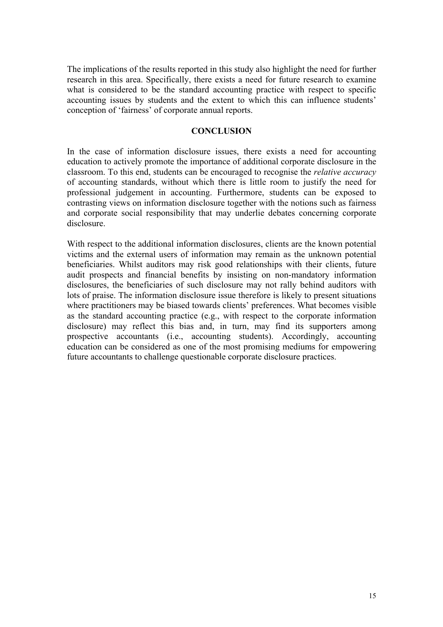The implications of the results reported in this study also highlight the need for further research in this area. Specifically, there exists a need for future research to examine what is considered to be the standard accounting practice with respect to specific accounting issues by students and the extent to which this can influence students' conception of 'fairness' of corporate annual reports.

### **CONCLUSION**

In the case of information disclosure issues, there exists a need for accounting education to actively promote the importance of additional corporate disclosure in the classroom. To this end, students can be encouraged to recognise the *relative accuracy* of accounting standards, without which there is little room to justify the need for professional judgement in accounting. Furthermore, students can be exposed to contrasting views on information disclosure together with the notions such as fairness and corporate social responsibility that may underlie debates concerning corporate disclosure.

With respect to the additional information disclosures, clients are the known potential victims and the external users of information may remain as the unknown potential beneficiaries. Whilst auditors may risk good relationships with their clients, future audit prospects and financial benefits by insisting on non-mandatory information disclosures, the beneficiaries of such disclosure may not rally behind auditors with lots of praise. The information disclosure issue therefore is likely to present situations where practitioners may be biased towards clients' preferences. What becomes visible as the standard accounting practice (e.g., with respect to the corporate information disclosure) may reflect this bias and, in turn, may find its supporters among prospective accountants (i.e., accounting students). Accordingly, accounting education can be considered as one of the most promising mediums for empowering future accountants to challenge questionable corporate disclosure practices.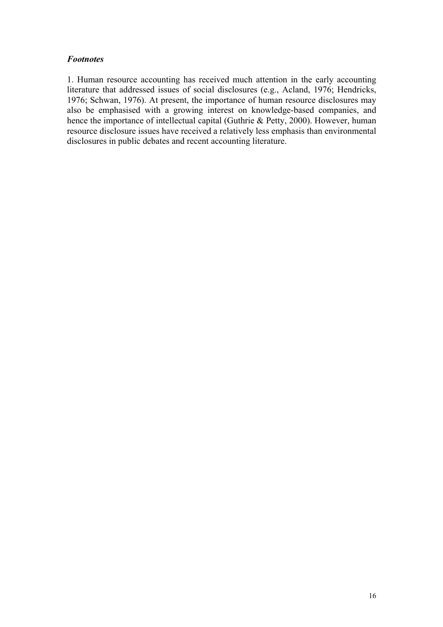## *Footnotes*

1. Human resource accounting has received much attention in the early accounting literature that addressed issues of social disclosures (e.g., Acland, 1976; Hendricks, 1976; Schwan, 1976). At present, the importance of human resource disclosures may also be emphasised with a growing interest on knowledge-based companies, and hence the importance of intellectual capital (Guthrie & Petty, 2000). However, human resource disclosure issues have received a relatively less emphasis than environmental disclosures in public debates and recent accounting literature.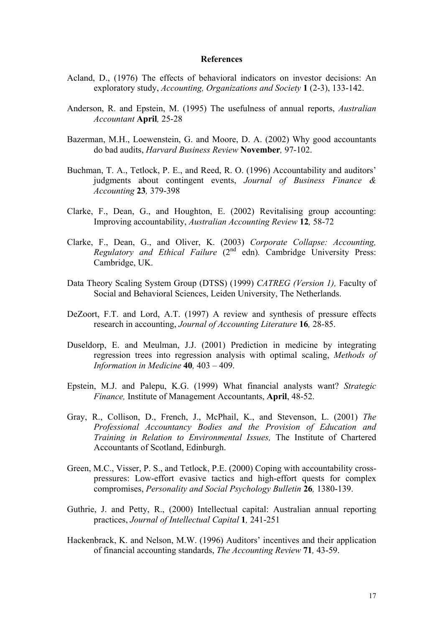#### **References**

- Acland, D., (1976) The effects of behavioral indicators on investor decisions: An exploratory study, *Accounting, Organizations and Society* **1** (2-3), 133-142.
- Anderson, R. and Epstein, M. (1995) The usefulness of annual reports, *Australian Accountant* **April***,* 25-28
- Bazerman, M.H., Loewenstein, G. and Moore, D. A. (2002) Why good accountants do bad audits, *Harvard Business Review* **November***,* 97-102.
- Buchman, T. A., Tetlock, P. E., and Reed, R. O. (1996) Accountability and auditors' judgments about contingent events, *Journal of Business Finance & Accounting* **23***,* 379-398
- Clarke, F., Dean, G., and Houghton, E. (2002) Revitalising group accounting: Improving accountability, *Australian Accounting Review* **12***,* 58-72
- Clarke, F., Dean, G., and Oliver, K. (2003) *Corporate Collapse: Accounting, Regulatory and Ethical Failure* (2<sup>nd</sup> edn). Cambridge University Press: Cambridge, UK.
- Data Theory Scaling System Group (DTSS) (1999) *CATREG (Version 1),* Faculty of Social and Behavioral Sciences, Leiden University, The Netherlands.
- DeZoort, F.T. and Lord, A.T. (1997) A review and synthesis of pressure effects research in accounting, *Journal of Accounting Literature* **16***,* 28-85.
- Duseldorp, E. and Meulman, J.J. (2001) Prediction in medicine by integrating regression trees into regression analysis with optimal scaling, *Methods of Information in Medicine* **40***,* 403 – 409.
- Epstein, M.J. and Palepu, K.G. (1999) What financial analysts want? *Strategic Finance,* Institute of Management Accountants, **April**, 48-52.
- Gray, R., Collison, D., French, J., McPhail, K., and Stevenson, L. (2001) *The Professional Accountancy Bodies and the Provision of Education and Training in Relation to Environmental Issues,* The Institute of Chartered Accountants of Scotland, Edinburgh.
- Green, M.C., Visser, P. S., and Tetlock, P.E. (2000) Coping with accountability crosspressures: Low-effort evasive tactics and high-effort quests for complex compromises, *Personality and Social Psychology Bulletin* **26***,* 1380-139.
- Guthrie, J. and Petty, R., (2000) Intellectual capital: Australian annual reporting practices, *Journal of Intellectual Capital* **1***,* 241-251
- Hackenbrack, K. and Nelson, M.W. (1996) Auditors' incentives and their application of financial accounting standards, *The Accounting Review* **71***,* 43-59.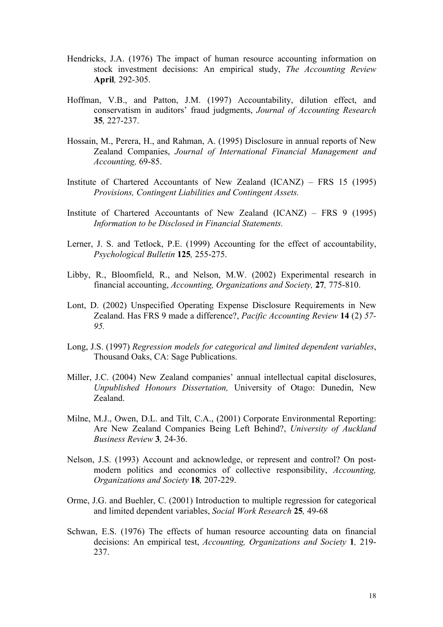- Hendricks, J.A. (1976) The impact of human resource accounting information on stock investment decisions: An empirical study, *The Accounting Review*  **April***,* 292-305.
- Hoffman, V.B., and Patton, J.M. (1997) Accountability, dilution effect, and conservatism in auditors' fraud judgments, *Journal of Accounting Research*  **35***,* 227-237.
- Hossain, M., Perera, H., and Rahman, A. (1995) Disclosure in annual reports of New Zealand Companies, *Journal of International Financial Management and Accounting,* 69-85.
- Institute of Chartered Accountants of New Zealand (ICANZ) FRS 15 (1995) *Provisions, Contingent Liabilities and Contingent Assets.*
- Institute of Chartered Accountants of New Zealand (ICANZ) FRS 9 (1995) *Information to be Disclosed in Financial Statements.*
- Lerner, J. S. and Tetlock, P.E. (1999) Accounting for the effect of accountability, *Psychological Bulletin* **125***,* 255-275.
- Libby, R., Bloomfield, R., and Nelson, M.W. (2002) Experimental research in financial accounting, *Accounting, Organizations and Society,* **27***,* 775-810.
- Lont, D. (2002) Unspecified Operating Expense Disclosure Requirements in New Zealand. Has FRS 9 made a difference?, *Pacific Accounting Review* **14** (2) *57- 95.*
- Long, J.S. (1997) *Regression models for categorical and limited dependent variables*, Thousand Oaks, CA: Sage Publications.
- Miller, J.C. (2004) New Zealand companies' annual intellectual capital disclosures, *Unpublished Honours Dissertation,* University of Otago: Dunedin, New Zealand.
- Milne, M.J., Owen, D.L. and Tilt, C.A., (2001) Corporate Environmental Reporting: Are New Zealand Companies Being Left Behind?, *University of Auckland Business Review* **3***,* 24-36.
- Nelson, J.S. (1993) Account and acknowledge, or represent and control? On postmodern politics and economics of collective responsibility, *Accounting, Organizations and Society* **18***,* 207-229.
- Orme, J.G. and Buehler, C. (2001) Introduction to multiple regression for categorical and limited dependent variables, *Social Work Research* **25***,* 49-68
- Schwan, E.S. (1976) The effects of human resource accounting data on financial decisions: An empirical test, *Accounting, Organizations and Society* **1***,* 219- 237.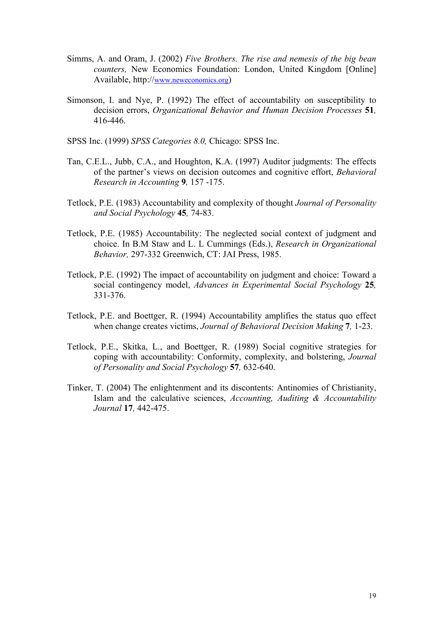- Simms, A. and Oram, J. (2002) *Five Brothers. The rise and nemesis of the big bean counters,* New Economics Foundation: London, United Kingdom [Online] Available, http://www.neweconomics.org)
- Simonson, I. and Nye, P. (1992) The effect of accountability on susceptibility to decision errors, *Organizational Behavior and Human Decision Processes* **51***,*  416-446.

SPSS Inc. (1999) *SPSS Categories 8.0,* Chicago: SPSS Inc.

- Tan, C.E.L., Jubb, C.A., and Houghton, K.A. (1997) Auditor judgments: The effects of the partner's views on decision outcomes and cognitive effort, *Behavioral Research in Accounting* **9***,* 157 -175.
- Tetlock, P.E. (1983) Accountability and complexity of thought *Journal of Personality and Social Psychology* **45***,* 74-83.
- Tetlock, P.E. (1985) Accountability: The neglected social context of judgment and choice. In B.M Staw and L. L Cummings (Eds.), *Research in Organizational Behavior,* 297-332 Greenwich, CT: JAI Press, 1985.
- Tetlock, P.E. (1992) The impact of accountability on judgment and choice: Toward a social contingency model, *Advances in Experimental Social Psychology* **25***,* 331-376.
- Tetlock, P.E. and Boettger, R. (1994) Accountability amplifies the status quo effect when change creates victims, *Journal of Behavioral Decision Making* **7***,* 1-23.
- Tetlock, P.E., Skitka, L., and Boettger, R. (1989) Social cognitive strategies for coping with accountability: Conformity, complexity, and bolstering, *Journal of Personality and Social Psychology* **57***,* 632-640.
- Tinker, T. (2004) The enlightenment and its discontents: Antinomies of Christianity, Islam and the calculative sciences, *Accounting, Auditing & Accountability Journal* **17***,* 442-475.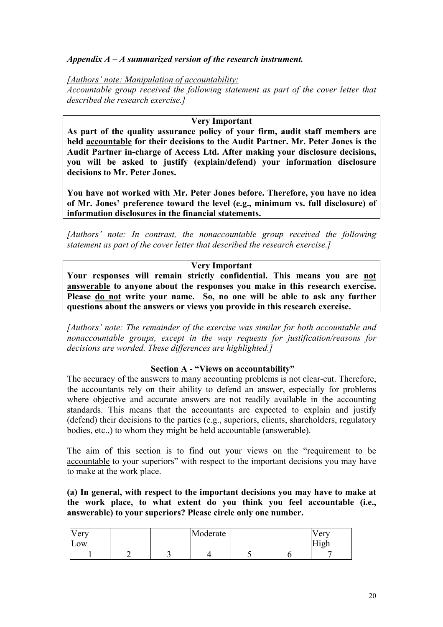# *Appendix A – A summarized version of the research instrument.*

*[Authors' note: Manipulation of accountability: Accountable group received the following statement as part of the cover letter that described the research exercise.]* 

### **Very Important**

**As part of the quality assurance policy of your firm, audit staff members are held accountable for their decisions to the Audit Partner. Mr. Peter Jones is the Audit Partner in-charge of Access Ltd. After making your disclosure decisions, you will be asked to justify (explain/defend) your information disclosure decisions to Mr. Peter Jones.** 

**You have not worked with Mr. Peter Jones before. Therefore, you have no idea of Mr. Jones' preference toward the level (e.g., minimum vs. full disclosure) of information disclosures in the financial statements.**

*[Authors' note: In contrast, the nonaccountable group received the following statement as part of the cover letter that described the research exercise.]* 

### **Very Important**

**Your responses will remain strictly confidential. This means you are not answerable to anyone about the responses you make in this research exercise. Please do not write your name. So, no one will be able to ask any further questions about the answers or views you provide in this research exercise.**

*[Authors' note: The remainder of the exercise was similar for both accountable and nonaccountable groups, except in the way requests for justification/reasons for decisions are worded. These differences are highlighted.]* 

### **Section A - "Views on accountability"**

The accuracy of the answers to many accounting problems is not clear-cut. Therefore, the accountants rely on their ability to defend an answer, especially for problems where objective and accurate answers are not readily available in the accounting standards. This means that the accountants are expected to explain and justify (defend) their decisions to the parties (e.g., superiors, clients, shareholders, regulatory bodies, etc.,) to whom they might be held accountable (answerable).

The aim of this section is to find out your views on the "requirement to be accountable to your superiors" with respect to the important decisions you may have to make at the work place.

**(a) In general, with respect to the important decisions you may have to make at the work place, to what extent do you think you feel accountable (i.e., answerable) to your superiors? Please circle only one number.**

| $\mathbf{X}$<br><b>Very</b><br>$\mathbf{r}$<br>Low |  | Moderate |  | / erv<br>$- - -$<br>1 <u>0</u> h |
|----------------------------------------------------|--|----------|--|----------------------------------|
|                                                    |  |          |  |                                  |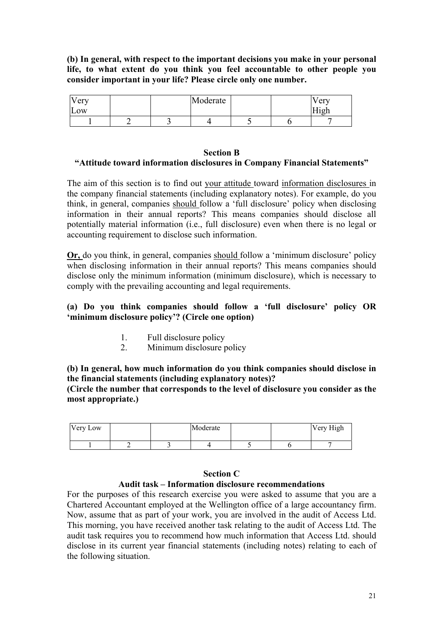**(b) In general, with respect to the important decisions you make in your personal life, to what extent do you think you feel accountable to other people you consider important in your life? Please circle only one number.** 

| very<br>LOW |  | Moderate |  | $\sqrt{\text{e}}$ rv<br><del>. .</del> .<br>- 1 a 1 - |
|-------------|--|----------|--|-------------------------------------------------------|
|             |  |          |  |                                                       |

## **Section B "Attitude toward information disclosures in Company Financial Statements"**

The aim of this section is to find out your attitude toward information disclosures in the company financial statements (including explanatory notes). For example, do you think, in general, companies should follow a 'full disclosure' policy when disclosing information in their annual reports? This means companies should disclose all potentially material information (i.e., full disclosure) even when there is no legal or accounting requirement to disclose such information.

**Or,** do you think, in general, companies should follow a 'minimum disclosure' policy when disclosing information in their annual reports? This means companies should disclose only the minimum information (minimum disclosure), which is necessary to comply with the prevailing accounting and legal requirements.

# **(a) Do you think companies should follow a 'full disclosure' policy OR 'minimum disclosure policy'? (Circle one option)**

- 1. Full disclosure policy
- 2. Minimum disclosure policy

**(b) In general, how much information do you think companies should disclose in the financial statements (including explanatory notes)?** 

**(Circle the number that corresponds to the level of disclosure you consider as the most appropriate.)** 

| Very Low |  | Moderate |  | Very High |
|----------|--|----------|--|-----------|
|          |  |          |  |           |

### **Section C**

# **Audit task – Information disclosure recommendations**

For the purposes of this research exercise you were asked to assume that you are a Chartered Accountant employed at the Wellington office of a large accountancy firm. Now, assume that as part of your work, you are involved in the audit of Access Ltd. This morning, you have received another task relating to the audit of Access Ltd. The audit task requires you to recommend how much information that Access Ltd. should disclose in its current year financial statements (including notes) relating to each of the following situation.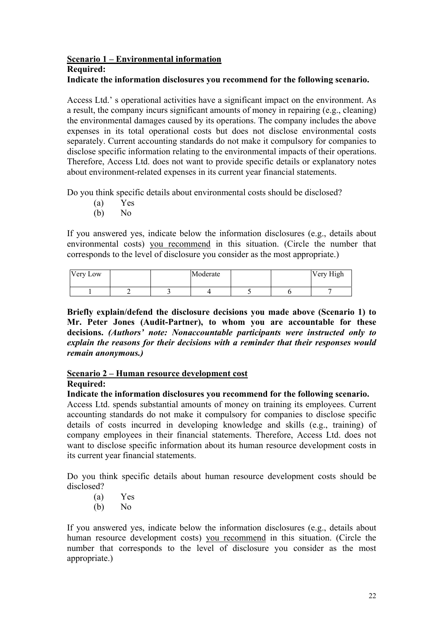### **Scenario 1 – Environmental information Required:**

# **Indicate the information disclosures you recommend for the following scenario.**

Access Ltd.' s operational activities have a significant impact on the environment. As a result, the company incurs significant amounts of money in repairing (e.g., cleaning) the environmental damages caused by its operations. The company includes the above expenses in its total operational costs but does not disclose environmental costs separately. Current accounting standards do not make it compulsory for companies to disclose specific information relating to the environmental impacts of their operations. Therefore, Access Ltd. does not want to provide specific details or explanatory notes about environment-related expenses in its current year financial statements.

Do you think specific details about environmental costs should be disclosed?

- (a) Yes
- (b) No

If you answered yes, indicate below the information disclosures (e.g., details about environmental costs) you recommend in this situation. (Circle the number that corresponds to the level of disclosure you consider as the most appropriate.)

| Very Low |  | Moderate |  | Very High |
|----------|--|----------|--|-----------|
|          |  |          |  |           |

**Briefly explain/defend the disclosure decisions you made above (Scenario 1) to Mr. Peter Jones (Audit-Partner), to whom you are accountable for these decisions.** *(Authors' note: Nonaccountable participants were instructed only to explain the reasons for their decisions with a reminder that their responses would remain anonymous.)*

### **Scenario 2 – Human resource development cost Required:**

### **Indicate the information disclosures you recommend for the following scenario.**

Access Ltd. spends substantial amounts of money on training its employees. Current accounting standards do not make it compulsory for companies to disclose specific details of costs incurred in developing knowledge and skills (e.g., training) of company employees in their financial statements. Therefore, Access Ltd. does not want to disclose specific information about its human resource development costs in its current year financial statements.

Do you think specific details about human resource development costs should be disclosed?

- (a) Yes
- (b) No

If you answered yes, indicate below the information disclosures (e.g., details about human resource development costs) you recommend in this situation. (Circle the number that corresponds to the level of disclosure you consider as the most appropriate.)